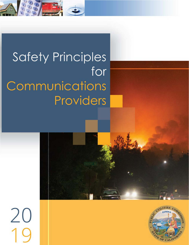

# **Safety Principles** for Communications Providers



20

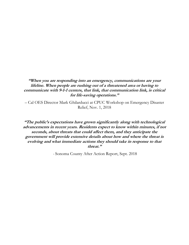**"When you are responding into an emergency, communications are your lifeline. When people are rushing out of a threatened area or having to communicate with 9-1-1 centers, that link, that communication link, is critical for life-saving operations."** 

– Cal OES Director Mark Ghilarducci at CPUC Workshop on Emergency Disaster Relief, Nov. 1, 2018

**"The public's expectations have grown significantly along with technological advancements in recent years. Residents expect to know within minutes, if not seconds, about threats that could affect them, and they anticipate the government will provide extensive details about how and where the threat is evolving and what immediate actions they should take in response to that threat."** 

*-* Sonoma County After Action Report, Sept. 2018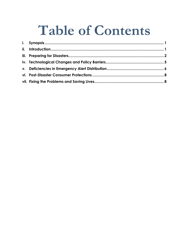# **Table of Contents**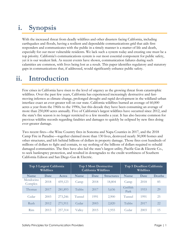# <span id="page-3-0"></span>**i. Synopsis**

With the increased threat from deadly wildfires and other disasters facing California, including earthquakes and floods, having a resilient and dependable communications grid that aids first responders and communicates with the public in a timely manner is a matter of life and death, especially for our most vulnerable residents. We lack such a system today and creating one must be a top priority. California's communications system is our most essential component for public safety, yet it is our weakest link. As recent events have shown, communication failures during such calamities are common, with lives being lost as a result. This paper identifies regulatory and statutory gaps in communications that, if addressed, would significantly enhance public safety.

### <span id="page-3-1"></span>**ii. Introduction**

Few crises in California have risen to the level of urgency as the growing threat from catastrophic wildfires. Over the past few years, California has experienced increasingly destructive and fastmoving infernos as climate change, prolonged drought and rapid development in the wildland-urban interface exact an ever-greater toll on our state. California wildfires burned an average of 60,000 acres a year from the 1960s to the 1990s, but this decade they have been consuming an average of more than 250,000 acres annually. Five of California's largest wildfires have occurred since 2012, and the state's fire season is no longer restricted to a few months a year. It has also become common for previous wildfire records regarding fatalities and damages to quickly be eclipsed by new fires doing ever-greater damage.

Two recent fires—the Wine Country fires in Sonoma and Napa Counties in 2017, and the 2018 Camp Fire in Paradise—together claimed more than 130 lives, destroyed nearly 30,000 homes and other structures, and left behind billions of dollars in property damage. Those fires cost hundreds of millions of dollars to fight and contain, to say nothing of the billions of dollars required to rebuild damaged communities. The fires have also led the state's largest utility, Pacific Gas & Electric Co., to seek bankruptcy protection, and resulted in downgrades to the credit worthiness of Southern California Edison and San Diego Gas & Electric.

| Top 5 Largest California<br><b>Wildfires</b> |      |         | <b>Top 5 Most Destructive</b><br><b>California Wildfires</b> |      |                   | Top 5 Deadliest California<br>Wildfires |      |        |
|----------------------------------------------|------|---------|--------------------------------------------------------------|------|-------------------|-----------------------------------------|------|--------|
| Name                                         | Date | Acres   | Name                                                         | Date | <b>Structures</b> | Name                                    | Date | Deaths |
| Mendocino<br>Complex                         | 2018 | 459,123 | Camp                                                         | 2018 | 18,804            | Camp                                    | 2018 | 85     |
| Thomas                                       | 2017 | 281,893 | Tubbs                                                        | 2017 | 5,636             | Griffith<br>Park                        | 1933 | 29     |
| Cedar                                        | 2003 | 273,246 | Tunnel                                                       | 1991 | 2,900             | Tunnel                                  | 1991 | 25     |
| Rush                                         | 2012 | 271,911 | Cedar                                                        | 2003 | 2,820             | Tubbs                                   | 2017 | 22     |
| Rim                                          | 2013 | 257,314 | Valley                                                       | 2015 | 1,955             | Cedar                                   | 2003 | 15     |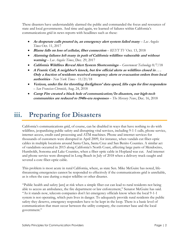These disasters have understandably alarmed the public and commanded the focus and resources of state and local governments. And time and again, we learned of failures within California's communications grid in news reports with headlines such as these:

- **As desperate calls poured in, an emergency alert system failed many** *Los Angeles Times* Oct. 11, 2017
- **Blame falls on loss of cellular, fiber connection** *KEYT TV* Oct. 13, 2018
- **Alarming failures left many in path of California wildfires vulnerable and without warning** – *Los Angeles Times*, Dec. 29, 2017
- **California Wildfires Reveal Alert System Shortcomings** *Government Technology* 8/7/18
- **A Frantic Call, A neighbor's knock, but few official alerts as wildfires closed in . . . Only a fraction of residents received emergency alerts or evacuation orders from local authorities** - *New York Times* - 11/21/18
- **Verizon, under fire for throttling firefighters' data speed, lifts caps for first responders** – *San Francisco Chronicle*, Aug. 24, 2018
- **Camp Fire created a black hole of communication/In disasters, our high-tech communities are reduced to 1940s-era responses** – *The Mercury News*, Dec. 16, 2018

## <span id="page-4-0"></span>**iii. Preparing for Disasters**

California's communications grid, of course, can be disabled in ways that have nothing to do with wildfires, jeopardizing public safety and disrupting vital services, including 9-1-1 calls, phone service, internet access, credit card processing and ATM machines. Phone and internet services for thousands of customers were disrupted in April 2009, for instance, when vandals cut fiber-optic cables in multiple locations around Santa Clara, Santa Cruz and San Benito Counties. A similar act of vandalism occurred in 2015 along California's North Coast, affecting large parts of Mendocino, Humboldt, Sonoma and Lake Counties, when a fiber optic cable in Hopland was cut. And internet and phone service were disrupted in Long Beach in July of 2018 when a delivery truck caught and severed a core fiber-optic cable.

This problem is most acute in rural California, where, as state Sen. Mike McGuire has noted, lifethreatening emergencies cannot be responded to effectively if the communications grid is unreliable, as is often the case during a major wildfire or other disaster.

"Public health and safety [are] at risk when a simple fiber cut can lead to rural residents not being able to access an ambulance, the fire department or law enforcement," Senator McGuire has said. "As it stands now, telecom companies don't let emergency officials know when the local 9-1-1 system is not operating, which puts lives in danger. To adequately provide rural residents the public safety they deserve, emergency responders have to be kept in the loop. There is a basic level of communication that must occur between the utility company, the customer base and the local government."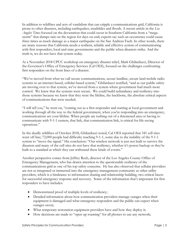In addition to wildfires and acts of vandalism that can cripple a communications grid, California is prone to other disasters, including earthquakes, mudslides and floods. A recent article in the *Los Angeles Times* focused on the devastation that could occur in Southern California from a "megastorm" that dumps rain on the region for days on end; experts say such an occurrence could cause three times as much damage as a major earthquake on the San Andreas Fault. In other words, there are many reasons that California needs a resilient, reliable and effective system of communicating with first responders, local and state governments and the public when disasters strike. And the truth is, we do not have that system today.

At a November 2018 CPUC workshop on emergency disaster relief, Mark Ghilarducci, Director of the Governor's Office of Emergency Services (Cal OES), focused on the challenges confronting first responders on the front lines of a disaster.

"We've moved from what we call secure communications, secure landline, secure land mobile radio systems to an internet-based, cellular-based system," Ghilarducci testified, "and as our public safety are moving over to that system, we've moved from a system where government had much more control. We knew that the systems were secure. We could build redundancy and resiliency into those systems because we knew that they were the lifeline, the backbone, the absolute critical aspects of communications that were needed.

"I will tell you," he went on, "coming out as a first responder and starting at local government and working through all the way to the federal government, when you're responding into an emergency, communications are your lifeline. When people are rushing out of a threatened area or having to communicate with 9-1-1 centers, that link, that communication link, is critical for life-saving operations."

In the deadly wildfires of October 2018, Ghilarducci noted, Cal OES reported that 341 cell sites went off line; 72,000 people had difficulty reaching 9-1-1, some due to the inability of the 9-1-1 system to "move the signal." His conclusion: "Our wireless network is just not built to survive the disasters and many of the cell sites do not have that resiliency, whether it's power backup or they're built to a standard at which they can withstand these kinds of events."

Another perspective comes from Jeffrey Reeb, director of the Los Angeles County Office of Emergency Management, who has drawn attention to the questionable resiliency of the communications grid as one of his top safety concerns. He has also observed that cellular providers are not as integrated or immersed into the emergency management community as other utility providers, which is a hindrance to information sharing and relationship building, two critical facets for successful emergency response and recovery. Some of the information that's important for first responders to have includes:

- Demonstrated proof of multiple levels of resiliency;
- Detailed information about how communication providers manage outages when their equipment is damaged and what emergency responders and the public can expect when outages occur;
- What temporary restoration equipment providers have and how they deploy it;
- How decisions are made to "open up roaming" for all phones to use any network;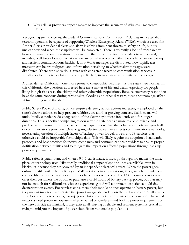Why cellular providers oppose moves to improve the accuracy of Wireless Emergency Alerts;

Recognizing such concerns, the Federal Communications Commission (FCC) has mandated that telecom operators be capable of supporting Wireless Emergency Alerts (WEA), which are used for Amber Alerts, presidential alerts and alerts involving imminent threats to safety or life, but it is unclear how and when those updates will be completed. There is currently a lack of transparency, however, around communication infrastructure that is vital for first responders to understand, including: cell tower location, what carriers are on what tower, whether towers have battery backup and resilient communications backhaul, how WEA messages are distributed, how rapidly alert messages can be promulgated, and information pertaining to whether alert messages were distributed. There are also various issues with consistent access to communication services in situations where there is a loss of power, particularly in rural areas with limited cell coverage.

A drier, denser California—one more prone to catastrophic wildfires—is the state's new normal. In this California, the questions addressed here are a matter of life and death, especially for people living in high-risk areas, the elderly and other vulnerable populations. Because emergency responders have the same concerns during earthquakes, flooding and other disasters, these shortcomings affect virtually everyone in the state.

Public Safety Power Shutoffs, or pre-emptive de-energization actions increasingly employed by the state's electric utilities to help prevent wildfires, are another growing concern. Californians will undoubtedly experience de-energization of the electric grid more frequently and for longer durations. This is another compelling reason why the state needs a more resilient, reliable and predictable communications grid, which may require more than the voluntary efforts and goodwill of communications providers. De-energizing electric power lines affects communications networks, necessitating creation of multiple layers of backup power for cell towers and IP services that otherwise could be inoperable for multiple days. This will likely require the adoption of standards, protocols and best practices for power companies and communications providers to ensure proper notification between utilities and to mitigate the impact on affected populations through back-up power requirements.

Public safety is paramount, and when a 9-1-1 call is made, it must go through, no matter the time, place, or technology used. Historically, traditional copper telephone lines are reliable, even in blackouts, because they are powered by an independent electrical source. When the power goes out—they still work. The resiliency of VoIP service is more precarious; it is generally provided over copper, fiber, or cable facilities that do not have their own power. The FCC requires providers to offer their customers the option to purchase 8 or 24 hours of battery backup power, but that may not be enough for Californians who are experiencing and will continue to experience multi-day deenergization events. For wireless consumers, their mobile phones operate on battery power, but they may or may not have service in a power outage, depending on the backup power installed at cell sites. For all of these services, backup power for consumers is only part of the equation. The actual networks need power to operate—whether wired or wireless—and backup power requirements on the network-side are minimal, if they exist at all. Having a reliable and resilient system is crucial in trying to mitigate the impact of power shutoffs on vulnerable populations.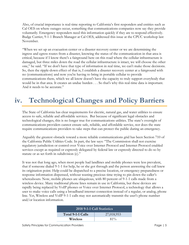Also, of crucial importance is real-time reporting to California's first responders and entities such as Cal OES on where outages occur, something that communications companies now say they provide voluntarily. Emergency responders need this information quickly if they are to respond effectively. Budge Currier, 9-1-1 Branch Manager at Cal OES, addressed this issue at the CPUC workshop last November.

"When we set up an evacuation center or a disaster recovery center or we are determining the ingress and egress routes from a disaster, knowing the status of the communication in that area is critical, because if I know there's a fairground here on this road where the cellular infrastructure is damaged, but three miles down the road the cellular infrastructure is intact, we will choose the other one," he said. "If we don't have that type of information in real time, we can't make those decisions. So, then the ripple-down effect of that is, I establish a disaster recovery center at a fairground with no (communications) and now you're having to bring in portable cellular to provide communications there, which we all know doesn't have the capacity to truly support everybody that would be in that area. It creates an undue burden . . . So that's why this real-time data is important. And it needs to be accurate."

## <span id="page-7-0"></span>**iv. Technological Changes and Policy Barriers**

The State of California has clear requirements for electric, natural gas, and water utilities to ensure access to safe, reliable and affordable services. But because of significant legal obstacles and technological changes, this is no longer true for communications utilities. The state's oversight of communications providers cannot ensure safe, reliable, and affordable service, nor does the state require communications providers to take steps that can protect the public during an emergency.

Arguably the greatest obstacle toward a more reliable communications grid has been Section 710 of the California Public Utilities Code. In part, the law says: "The Commission shall not exercise regulatory jurisdiction or control over Voice over Internet Protocol and Internet Protocol enabled services except as required or expressly delegated by federal law or expressly directed to do so by statute or as set forth in subdivision (c)."

It was not that long ago, when most people had landlines and mobile phones were less prevalent, that if someone dialed 9-1-1 for help, he or she got through and the person answering the call knew its origination point. Help could be dispatched to a precise location, or emergency preparedness or response information dispensed, without wasting precious time trying to pin down the caller's whereabouts. Now, mobile phones are ubiquitous, with 80 percent of 9-1-1 calls made from a wireless device. Many traditional phone lines remain in use in California, but these devices are rapidly being replaced by VoIP phones or Voice over Internet Protocol, a technology that allows a user to make voice calls using a broadband internet connection instead of a regular, or analog, phone line. Yet, Wireless and VoIP 9-1-1 calls may not automatically transmit the user's phone number and/or location information.

| 2018 9-1-1 Call Statistics |            |  |  |  |  |
|----------------------------|------------|--|--|--|--|
| Total 9-1-1 Calls          | 27,018,953 |  |  |  |  |
| Wireless                   | $81\%$     |  |  |  |  |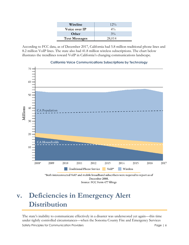| Wireline             | $12\%$ |
|----------------------|--------|
| Voice over IP        | $4\%$  |
| Other                | $3\%$  |
| <b>Text Messages</b> | 28,014 |

According to FCC data, as of December 2017, California had 5.8 million traditional phone lines and 8.2 million VoIP lines. The state also had 41.8 million wireless subscriptions. The chart below illustrates the trendlines toward VoIP in California's changing communications landscape.



#### **California Voice Communications Subscriptions by Technology**

December 2008. Source: FCC Form 477 filings

## <span id="page-8-0"></span>**v. Deficiencies in Emergency Alert Distribution**

Safety Principles for Communication Providers **Page 16** and 2008 (1999) 9 and 2008 (1999) 9 and 2009 (1999) 9 and 2009 (1999) 9 and 2009 (1999) 9 and 2009 (1999) 9 and 2009 (1999) 9 and 2009 (1999) 9 and 2009 (1999) 9 and The state's inability to communicate effectively in a disaster was underscored yet again—this time under tightly controlled circumstances—when the Sonoma County Fire and Emergency Services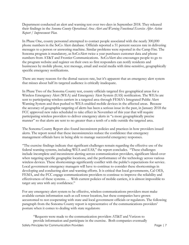Department conducted an alert and warning test over two days in September 2018. They released their findings in the *Sonoma County Operational Area Alert and Warning Functional Exercise After Action Report / Improvement Plan*.

In Phase One, county personnel attempted to contact people associated with the nearly 300,000 phone numbers in the SoCo Alert database. Officials reported a 51 percent success rate in delivering messages to a person or answering machine. Similar problems were reported in the Camp Fire. The Sonoma program is mandatory, as SoCoAlert twice a year purchases customer data and phone numbers from AT&T and Frontier Communications. SoCoAlert also encourages people to go to the program website and register on their own so first responders can notify residents and businesses by mobile phone, text message, email and social media with time-sensitive, geographically specific emergency notifications.

There are many reasons for the dismal success rate, but it's apparent that an emergency alert system that misses about half its targeted audience is critically inadequate.

In Phase Two of the Sonoma County test, county officials targeted five geographical areas for a Wireless Emergency Alert (WEA) and Emergency Alert System (EAS) notification. The WEAs are sent to participating wireless carriers in a targeted area through FEMA's Integrated Public Alert Warning System and then pushed to WEA-enabled mobile devices in the affected areas. Because the accuracy of geographic targeting of alerts has been a serious issue in the past, in January 2018 the FCC approved new rules scheduled to take effect in November of this year that will require participating wireless providers to deliver emergency alerts in "a more geographically precise manner" so that alerts are sent to no greater than a tenth of a mile outside the targeted area.

The Sonoma County Report also found inconsistent policies and practices in how providers issued alerts. The report noted that these inconsistencies reduce the confidence that emergency management officials have in being able to manage successful emergency responses.

"The exercise findings indicate that significant challenges remain regarding the effective use of the federal warning systems, including WEA and EAS," the report concludes. "These challenges include incomplete and inconsistent alerting across communication providers, significant bleed-over when targeting specific geographic locations, and the performance of the technology across various wireless devices. These shortcomings significantly conflict with the public's expectations for service. Local government emergency managers will have to continue to consider these shortcomings in developing and conducting alert and warning efforts. It is critical that local governments, Cal OES, FEMA, and the FCC engage communications providers to continue to improve the reliability and effectiveness of these systems. . . With current policies of mobile carriers, it is almost impossible to target any area with any confidence."

For any emergency alert system to be effective, wireless communications providers must make available certain information such as cell tower location, but these companies have grown accustomed to not cooperating with state and local government officials or regulators. The following paragraph from the Sonoma County report is representative of the communications providers' posture when it comes to dealing with state regulators:

Safety Principles for Communication Providers **Page 12** and 2008 (1999) Page 17 "Requests were made to the communication providers AT&T and Verizon to provide information and participate in the exercise. Both companies eventually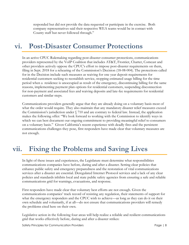responded but did not provide the data requested or participate in the exercise. Both company representatives said their respective WEA teams would be in contact with County staff but never followed through."

### <span id="page-10-0"></span>**vi. Post-Disaster Consumer Protections**

In an active CPUC Rulemaking regarding post-disaster consumer protections, communications providers represented by the VoIP Coalition that includes AT&T, Frontier, Charter, Comcast and other providers actively oppose the CPUC's effort to impose post-disaster requirements on them, filing in Sept. 2018 for a rehearing of the Commission's Decision (18-08-004). The protections called for in the Decision include such measures as waiving for one year deposit requirements for residential customers seeking to reestablish service, stopping estimated usage billing for the time period when a residence is unoccupied as result of the emergency, discontinuing billing for the same reasons, implementing payment plan options for residential customers, suspending disconnection for non-payment and associated fees and waiving deposits and late-fee requirements for residential customers and similar steps.

Communications providers generally argue that they are already doing on a voluntary basis most of what the order would require. They also maintain that any mandatory disaster relief measures exceed the Commission's jurisdiction under § 710 and are contrary to federal law. Instead, the application makes the following offer: "We look forward to working with the Commission to identify ways in which we can best document our ongoing commitment to providing meaningful relief to consumers on a voluntary basis." Given California's recent experience with deadly fires and the persistent communications challenges they pose, first responders have made clear that voluntary measures are not enough.

### <span id="page-10-1"></span>**vii. Fixing the Problems and Saving Lives**

In light of these issues and experiences, the Legislature must determine what responsibilities communications companies have before, during and after a disaster. Setting clear policies that enhance public safety and emergency preparedness and the restoration of vital communications services after a disaster are essential. Deregulated Internet Protocol services and a lack of any clear policies and standards inhibits local and state public safety agencies from ensuring a safe and reliable communications grid for warnings, evacuations, and response.

First responders have made clear that voluntary best efforts are not enough. Given the communications companies' track record of resisting any regulation, their statements of support for what the emergency responders and the CPUC wish to achieve—as long as they can do it on their own schedule and voluntarily, if at all—do not ensure that communications providers will remedy the problems cited here on their own.

Legislative action in the following four areas will help realize a reliable and resilient communications grid that works effectively before, during and after a disaster strikes:

Safety Principles for Communication Providers **Page 18** and 2008 and 2008 and 2008 and 2008 and 2008 and 2008 and 2008 and 2008 and 2008 and 2008 and 2008 and 2008 and 2008 and 2008 and 2008 and 2008 and 2008 and 2008 and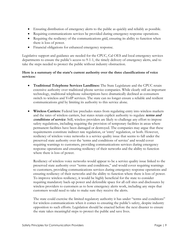- Ensuring distribution of emergency alerts to the public as quickly and reliably as possible.
- Requiring communications services be provided during emergency response operations.
- Requiring the resiliency of the communications grid, ensuring its ability to function when there is loss of power.
- Financial obligations for enhanced emergency response.

Legislative support and guidance are needed for the CPUC, Cal OES and local emergency services departments to ensure the public's access to 9-1-1, the timely delivery of emergency alerts, and to take the steps needed to protect the public without industry obstruction.

#### **Here is a summary of the state's current authority over the three classifications of voice services:**

- **Traditional Telephone Services Landlines:** The State Legislature and the CPUC retain extensive authority over traditional phone service companies. While clearly still an important technology, traditional telephone subscriptions have dramatically declined as consumers switch to wireless and VoIP services. The state can no longer ensure a reliable and resilient communications grid by limiting its authority to this service alone.
- **Wireless Carriers:** Federal law precludes states from regulating entry into wireless markets and the rates of wireless carriers, but states retain explicit authority to regulate **terms and conditions of service**. Still, wireless providers are likely to challenge any effort to impose safety regulations, including requiring the provision of temporary facilities in areas where permanent facilities have been damaged or destroyed. The companies may argue that these requirements constitute indirect rate regulation, or 'entry' regulation, or both. However, resiliency of wireless voice networks is a service quality issue that seems to fall under the preserved state authority over the 'terms and conditions of service' and would cover requiring warnings to customers, providing communications services during emergency response operations and ensuring resiliency of their networks and the ability to function where there is loss of power.

Resiliency of wireless voice networks would appear to be a service quality issue linked to the preserved state authority over "terms and conditions," and would cover requiring warnings to customers, providing communications services during emergency response operations and ensuring resiliency of their networks and the ability to function where there is loss of power. To improve wireless resiliency, it would be highly beneficial for the state to consider requiring mandatory back-up power and defensible space for all cell sites and disclosures by wireless providers to customers as to how emergency alerts work, including any steps that customers would need to take to make sure they receive the alerts.

The state could exercise the limited regulatory authority it has under "terms and conditions" for wireless communications when it comes to ensuring the public's safety, despite industry opposition to such efforts. Legislation should be enacted before the next disaster to ensure the state takes meaningful steps to protect the public and save lives.